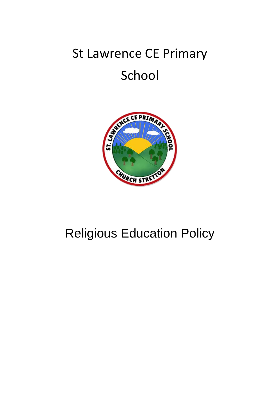# St Lawrence CE Primary School



## Religious Education Policy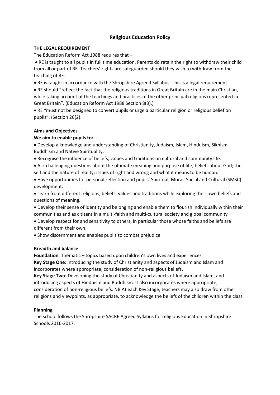### **Religious Education Policy**

#### **THE LEGAL REQUIREMENT**

The Education Reform Act 1988 requires that –

 RE is taught to all pupils in full time education. Parents do retain the right to withdraw their child from all or part of RE. Teachers' rights are safeguarded should they wish to withdraw from the teaching of RE.

RE is taught in accordance with the Shropshire Agreed Syllabus. This is a legal requirement.

 RE should "reflect the fact that the religious traditions in Great Britain are in the main Christian, while taking account of the teachings and practices of the other principal religions represented in Great Britain". (Education Reform Act 1988 Section 8(3).)

 RE "must not be designed to convert pupils or urge a particular religion or religious belief on pupils". (Section 26(2).

#### **Aims and Objectives**

#### **We aim to enable pupils to:**

 Develop a knowledge and understanding of Christianity, Judaism, Islam, Hinduism, Sikhism, Buddhism and Native Spirituality.

Recognise the influence of beliefs, values and traditions on cultural and community life.

 Ask challenging questions about the ultimate meaning and purpose of life; beliefs about God; the self and the nature of reality; issues of right and wrong and what it means to be human.

 Have opportunities for personal reflection and pupils' Spiritual, Moral, Social and Cultural (SMSC) development.

 Learn from different religions, beliefs, values and traditions while exploring their own beliefs and questions of meaning.

 Develop their sense of identity and belonging and enable them to flourish individually within their communities and as citizens in a multi-faith and multi-cultural society and global community

 Develop respect for and sensitivity to others, in particular those whose faiths and beliefs are different from their own.

Show discernment and enables pupils to combat prejudice.

#### **Breadth and balance**

**Foundation**: Thematic – topics based upon children's own lives and experiences **Key Stage One**: Introducing the study of Christianity and aspects of Judaism and Islam and incorporates where appropriate, consideration of non-religious beliefs.

**Key Stage Two**: Developing the study of Christianity and aspects of Judaism and Islam, and introducing aspects of Hinduism and Buddhism. It also incorporates where appropriate, consideration of non-religious beliefs. NB At each Key Stage, teachers may also draw from other religions and viewpoints, as appropriate, to acknowledge the beliefs of the children within the class.

#### **Planning**

The school follows the Shropshire SACRE Agreed Syllabus for religious Education in Shropshire Schools 2016-2017.